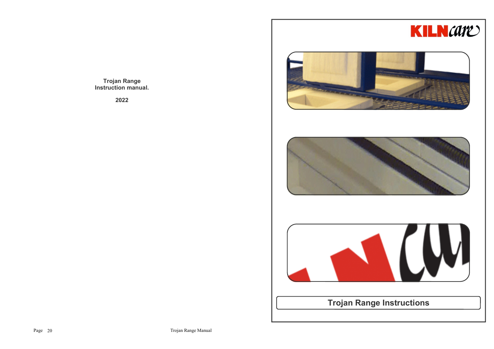

**Trojan Range Instruction manual.**

**2022**







**Trojan Range Instructions**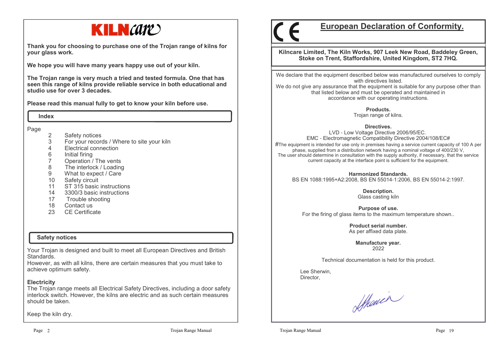

**Thank you for choosing to purchase one of the Trojan range of kilns for your glass work.**

**We hope you will have many years happy use out of your kiln.** 

**The Trojan range is very much a tried and tested formula. One that has seen this range of kilns provide reliable service in both educational and studio use for over 3 decades.**

**Please read this manual fully to get to know your kiln before use.**

 **Index**

Page

- 2 Safety notices<br>3 For your record
- 3 For your records / Where to site your kiln
- 4 Electrical connection
- 
- 6 Initial firing7 Operation / The vents
- The interlock / Loading 8
- 9 What to expect / Care
- 10 Safety circuit
- 11 ST 315 basic instructions
- 14 3300/3 basic instructions
- 17 Trouble shooting
- 18 Contact us
- 23 CE Certificate

## **Safety notices**

Your Trojan is designed and built to meet all European Directives and British Standards.

 However, as with all kilns, there are certain measures that you must take to achieve optimum safety.

#### **Electricity**

 The Trojan range meets all Electrical Safety Directives, including a door safety interlock switch. However, the kilns are electric and as such certain measures should be taken.

Keep the kiln dry.

# **European Declaration of Conformity.**

**Kilncare Limited, The Kiln Works, 907 Leek New Road, Baddeley Green, Stoke on Trent, Staffordshire, United Kingdom, ST2 7HQ.**

We declare that the equipment described below was manufactured ourselves to comply with directives listed.

 We do not give any assurance that the equipment is suitable for any purpose other than that listed below and must be operated and maintained in accordance with our operating instructions.

**Products.**

Trojan range of kilns.

**Directives.**

 LVD - Low Voltage Directive 2006/95/EC. EMC - Electromagnetic Compatibility Directive 2004/108/EC# $\#$ The equipment is intended for use only in premises having a service current capacity of 100 A per phase, supplied from a distribution network having a nominal voltage of 400/230 V, The user should determine in consultation with the supply authority, if necessary, that the service current capacity at the interface point is sufficient for the equipment.

**Harmonized Standards.**BS EN 1088:1995+A2:2008, BS EN 55014-1:2006, BS EN 55014-2:1997.

> **Description.** Glass casting kiln

**Purpose of use.**For the firing of glass items to the maximum temperature shown..

> **Product serial number.**As per affixed data plate.

> > **Manufacture year.**2022

Technical documentation is held for this product.

 Lee Sherwin,Director,

Shower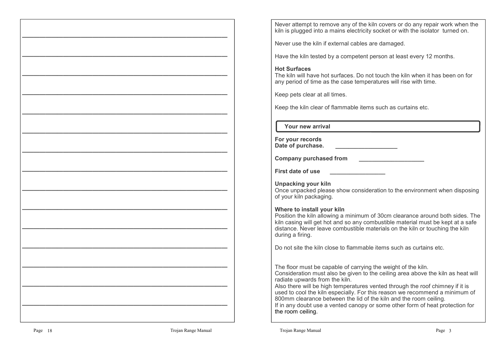Never attempt to remove any of the kiln covers or do any repair work when the kiln is plugged into a mains electricity socket or with the isolator turned on.

Never use the kiln if external cables are damaged.

Have the kiln tested by a competent person at least every 12 months.

# **Hot Surfaces**

 The kiln will have hot surfaces. Do not touch the kiln when it has been on for any period of time as the case temperatures will rise with time.

Keep pets clear at all times.

Keep the kiln clear of flammable items such as curtains etc.

 **Your new arrival**

| For your records  |  |
|-------------------|--|
| Date of purchase. |  |

**Company purchased from \_\_\_\_\_\_\_\_\_\_\_\_\_\_\_\_\_\_\_\_**

**First date of use** 

**Unpacking your kiln**

 Once unpacked please show consideration to the environment when disposing of your kiln packaging.

## **Where to install your kiln**

 Position the kiln allowing a minimum of 30cm clearance around both sides. The kiln casing will get hot and so any combustible material must be kept at a safe distance. Never leave combustible materials on the kiln or touching the kiln during a firing.

Do not site the kiln close to flammable items such as curtains etc.

The floor must be capable of carrying the weight of the kiln. Consideration must also be given to the ceiling area above the kiln as heat will radiate upwards from the kiln.

 Also there will be high temperatures vented through the roof chimney if it is used to cool the kiln especially. For this reason we recommend a minimum of 800mm clearance between the lid of the kiln and the room ceiling. If in any doubt use a vented canopy or some other form of heat protection for the room ceiling.

**———————————————————————————————————** 

**———————————————————————————————————** 

**———————————————————————————————————** 

**———————————————————————————————————** 

**———————————————————————————————————** 

**———————————————————————————————————** 

**———————————————————————————————————** 

**———————————————————————————————————** 

**———————————————————————————————————** 

**———————————————————————————————————** 

**———————————————————————————————————** 

**———————————————————————————————————** 

**———————————————————————————————————** 

**———————————————————————————————————** 

**———————————————————————————————————**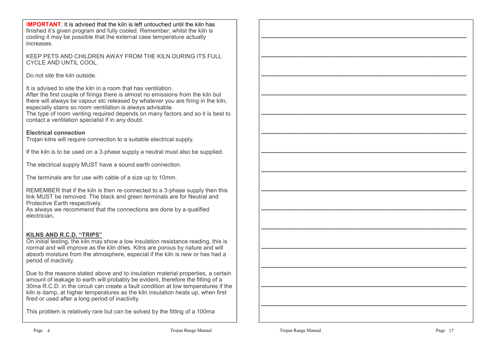I**MPORTANT**. It is advised that the kiln is left untouched until the kiln has finished it's given program and fully cooled. Remember, whilst the kiln is cooling it may be possible that the external case temperature actually increases.

KEEP PETS AND CHILDREN AWAY FROM THE KILN DURING ITS FULL CYCLE AND UNTIL COOL.

Do not site the kiln outside.

It is advised to site the kiln in a room that has ventilation.

 After the first couple of firings there is almost no emissions from the kiln but there will always be vapour etc released by whatever you are firing in the kiln, especially stains so room ventilation is always advisable.

 The type of room venting required depends on many factors and so it is best to contact a ventilation specialist if in any doubt.

# **Electrical connection**

Trojan kilns will require connection to a suitable electrical supply.

If the kiln is to be used on a 3-phase supply a neutral must also be supplied.

The electrical supply MUST have a sound earth connection.

The terminals are for use with cable of a size up to 10mm.

REMEMBER that if the kiln is then re-connected to a 3-phase supply then this link MUST be removed. The black and green terminals are for Neutral and Protective Earth respectively.

 As always we recommend that the connections are done by a qualified electrician**.**

## **KILNS AND R.C.D. "TRIPS"**

 On initial testing, the kiln may show a low insulation resistance reading, this is normal and will improve as the kiln dries. Kilns are porous by nature and will absorb moisture from the atmosphere, especial if the kiln is new or has had a period of inactivity.

Due to the reasons stated above and to insulation material properties, a certain amount of leakage to earth will probably be evident, therefore the fitting of a 30ma R.C.D. in the circuit can create a fault condition at low temperatures if the kiln is damp, at higher temperatures as the kiln insulation heats up, when first fired or used after a long period of inactivity.

This problem is relatively rare but can be solved by the fitting of a 100ma

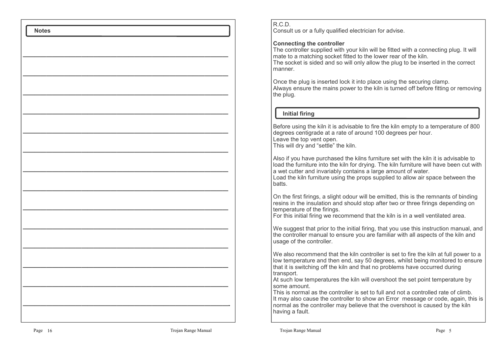Consult us or a fully qualified electrician for advise.

# **Connecting the controller**

 The controller supplied with your kiln will be fitted with a connecting plug. It will mate to a matching socket fitted to the lower rear of the kiln.

 The socket is sided and so will only allow the plug to be inserted in the correct manner.

Once the plug is inserted lock it into place using the securing clamp. Always ensure the mains power to the kiln is turned off before fitting or removing the plug.

# **Initial firing**

Before using the kiln it is advisable to fire the kiln empty to a temperature of 800 degrees centigrade at a rate of around 100 degrees per hour. Leave the top vent open.This will dry and "settle" the kiln.

Also if you have purchased the kilns furniture set with the kiln it is advisable to load the furniture into the kiln for drying. The kiln furniture will have been cut with a wet cutter and invariably contains a large amount of water.

 Load the kiln furniture using the props supplied to allow air space between the batts.

On the first firings, a slight odour will be emitted, this is the remnants of binding resins in the insulation and should stop after two or three firings depending on temperature of the firings.

For this initial firing we recommend that the kiln is in a well ventilated area.

We suggest that prior to the initial firing, that you use this instruction manual, and the controller manual to ensure you are familiar with all aspects of the kiln and usage of the controller.

We also recommend that the kiln controller is set to fire the kiln at full power to a low temperature and then end, say 50 degrees, whilst being monitored to ensure that it is switching off the kiln and that no problems have occurred during transport.

 At such low temperatures the kiln will overshoot the set point temperature by some amount.

 This is normal as the controller is set to full and not a controlled rate of climb. It may also cause the controller to show an Error message or code, again, this is normal as the controller may believe that the overshoot is caused by the kiln having a fault.

 **Notes**

**———————————————————————————————————** 

**———————————————————————————————————** 

**———————————————————————————————————** 

**———————————————————————————————————** 

**———————————————————————————————————** 

**———————————————————————————————————** 

**———————————————————————————————————** 

**———————————————————————————————————** 

**———————————————————————————————————** 

**———————————————————————————————————** 

**———————————————————————————————————** 

**———————————————————————————————————** 

**———————————————————————————————————** 

**———————————————————————————————————-**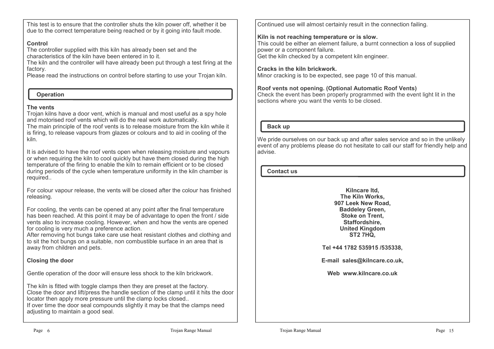This test is to ensure that the controller shuts the kiln power off, whether it be due to the correct temperature being reached or by it going into fault mode.

# **Control**

 The controller supplied with this kiln has already been set and the characteristics of the kiln have been entered in to it.

 The kiln and the controller will have already been put through a test firing at the factory.

Please read the instructions on control before starting to use your Trojan kiln.

# **Operation**

# **The vents**

 Trojan kilns have a door vent, which is manual and most useful as a spy hole and motorised roof vents which will do the real work automatically. The main principle of the roof vents is to release moisture from the kiln while it

is firing, to release vapours from glazes or colours and to aid in cooling of the kiln.

It is advised to have the roof vents open when releasing moisture and vapours or when requiring the kiln to cool quickly but have them closed during the high temperature of the firing to enable the kiln to remain efficient or to be closed during periods of the cycle when temperature uniformity in the kiln chamber is required..

For colour vapour release, the vents will be closed after the colour has finished releasing.

For cooling, the vents can be opened at any point after the final temperature has been reached. At this point it may be of advantage to open the front / side vents also to increase cooling. However, when and how the vents are opened for cooling is very much a preference action.

 After removing hot bungs take care use heat resistant clothes and clothing and to sit the hot bungs on a suitable, non combustible surface in an area that is away from children and pets.

# **Closing the door**

Gentle operation of the door will ensure less shock to the kiln brickwork.

The kiln is fitted with toggle clamps then they are preset at the factory. Close the door and lift/press the handle section of the clamp until it hits the door locator then apply more pressure until the clamp locks closed.. If over time the door seal compounds slightly it may be that the clamps need adjusting to maintain a good seal.

Continued use will almost certainly result in the connection failing.

# **Kiln is not reaching temperature or is slow.**

 This could be either an element failure, a burnt connection a loss of supplied power or a component failure. Get the kiln checked by a competent kiln engineer.

# **Cracks in the kiln brickwork.**

Minor cracking is to be expected, see page 10 of this manual.

# **Roof vents not opening. (Optional Automatic Roof Vents)**

 Check the event has been properly programmed with the event light lit in the sections where you want the vents to be closed.

# **Back up**

We pride ourselves on our back up and after sales service and so in the unlikely event of any problems please do not hesitate to call our staff for friendly help and advise.

# **Contact us**

**Kilncare ltd, The Kiln Works, 907 Leek New Road, Baddeley Green, Stoke on Trent, Staffordshire, United KingdomST2 7HQ,**

**Tel +44 1782 535915 /535338,**

**E-mail sales@kilncare.co.uk,** 

**Web www.kilncare.co.uk**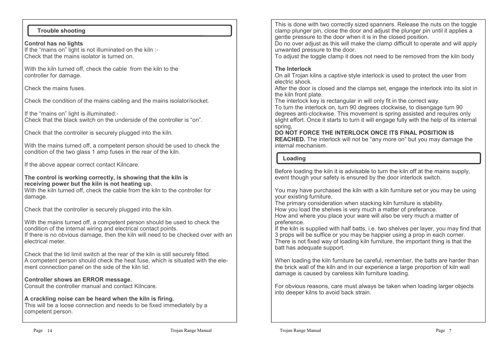## **Trouble shooting**

**Control has no lights** If the "mains on" light is not illuminated on the kiln :- Check that the mains isolator is turned on.

With the kiln turned off, check the cable from the kiln to the controller for damage.

Check the mains fuses.

Check the condition of the mains cabling and the mains isolator/socket.

If the "mains on" light is illuminated:- Check that the black switch on the underside of the controller is "on".

Check that the controller is securely plugged into the kiln.

With the mains turned off, a competent person should be used to check the condition of the two glass 1 amp fuses in the rear of the kiln.

If the above appear correct contact Kilncare.

#### **The control is working correctly, is showing that the kiln is receiving power but the kiln is not heating up.**

 With the kiln turned off, check the cable from the kiln to the controller for damage.

Check that the controller is securely plugged into the kiln.

With the mains turned off, a competent person should be used to check the condition of the internal wiring and electrical contact points. If there is no obvious damage, then the kiln will need to be checked over with an electrical meter.

Check that the lid limit switch at the rear of the kiln is still securely fitted. A competent person should check the heat fuse, which is situated with the element connection panel on the side of the kiln lid.

#### **Controller shows an ERROR message.**

Consult the controller manual and contact Kilncare.

## **A crackling noise can be heard when the kiln is firing.**

 This will be a loose connection and needs to be fixed immediately by a competent person.

This is done with two correctly sized spanners. Release the nuts on the toggle clamp plunger pin, close the door and adjust the plunger pin until it applies a gentle pressure to the door when it is in the closed position.

 Do no over adjust as this will make the clamp difficult to operate and will apply unwanted pressure to the door.

To adjust the toggle clamp it does not need to be removed from the kiln body

# **The Interlock**

 On all Trojan kilns a captive style interlock is used to protect the user from electric shock.

 After the door is closed and the clamps set, engage the interlock into its slot in the kiln front plate.

The interlock key is rectangular in will only fit in the correct way.

 To turn the interlock on, turn 90 degrees clockwise, to disengage turn 90 degrees anti-clockwise. This movement is spring assisted and requires only slight effort. Once it starts to turn it will engage fully with the help of its internal spring,

## **DO NOT FORCE THE INTERLOCK ONCE ITS FINAL POSITION IS**

 **REACHED.** The interlock will not be "any more on" but you may damage the internal mechanism.

## **Loading**

Before loading the kiln it is advisable to turn the kiln off at the mains supply, event though your safety is ensured by the door interlock switch.

You may have purchased the kiln with a kiln furniture set or you may be using your existing furniture.

 The primary consideration when stacking kiln furniture is stability.How you load the shelves is very much a matter of preferance. How and where you place your ware will also be very much a matter of preference.

 If the kiln is supplied with half batts, i.e. two shelves per layer, you may find that 3 props will be suffice or you may be happier using a prop in each corner. There is not fixed way of loading kiln furniture, the important thing is that the batt has adequate support.

When loading the kiln furniture be careful, remember, the batts are harder than the brick wall of the kiln and in our experience a large proportion of kiln wall damage is caused by careless kiln furniture loading.

For obvious reasons, care must always be taken when loading larger objects into deeper kilns to avoid back strain.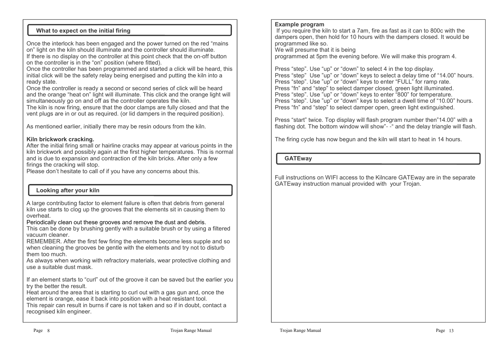# **What to expect on the initial firing**

Once the interlock has been engaged and the power turned on the red "mains on" light on the kiln should illuminate and the controller should illuminate. If there is no display on the controller at this point check that the on-off button on the controller is in the "on" position (where fitted).

 Once the controller has been programmed and started a click will be heard, this initial click will be the safety relay being energised and putting the kiln into a ready state.

 Once the controller is ready a second or second series of click will be heard and the orange "heat on" light will illuminate. This click and the orange light will simultaneously go on and off as the controller operates the kiln.

 The kiln is now firing, ensure that the door clamps are fully closed and that the vent plugs are in or out as required. (or lid dampers in the required position).

As mentioned earlier, initially there may be resin odours from the kiln.

#### **Kiln brickwork cracking.**

 After the initial firing small or hairline cracks may appear at various points in the kiln brickwork and possibly again at the first higher temperatures. This is normal and is due to expansion and contraction of the kiln bricks. After only a few firings the cracking will stop.

Please don't hesitate to call of if you have any concerns about this.

# **Looking after your kiln**

A large contributing factor to element failure is often that debris from general kiln use starts to clog up the grooves that the elements sit in causing them to overheat.

Periodically clean out these grooves and remove the dust and debris.

 This can be done by brushing gently with a suitable brush or by using a filtered vacuum cleaner.

 REMEMBER. After the first few firing the elements become less supple and so when cleaning the grooves be gentle with the elements and try not to disturb them too much.

 As always when working with refractory materials, wear protective clothing and use a suitable dust mask.

If an element starts to "curl" out of the groove it can be saved but the earlier you try the better the result.

 Heat around the area that is starting to curl out with a gas gun and, once the element is orange, ease it back into position with a heat resistant tool. This repair can result in burns if care is not taken and so if in doubt, contact a recognised kiln engineer.

### **Example program**

 If you require the kiln to start a 7am, fire as fast as it can to 800c with the dampers open, then hold for 10 hours with the dampers closed. It would be programmed like so.

We will presume that it is being

programmed at 5pm the evening before. We will make this program 4.

Press "step". Use "up" or "down" to select 4 in the top display. Press "step" Use "up" or "down" keys to select a delay time of "14.00" hours.Press "step". Use "up" or "down" keys to enter "FULL" for ramp rate. Press "fn" and "step" to select damper closed, green light illuminated. Press "step". Use "up" or "down" keys to enter "800" for temperature. Press "step". Use "up" or "down" keys to select a dwell time of "10.00" hours.Press "fn" and "step" to select damper open, green light extinguished.

Press "start" twice. Top display will flash program number then"14.00" with a flashing dot. The bottom window will show"- -" and the delay triangle will flash.

The firing cycle has now begun and the kiln will start to heat in 14 hours.

 **GATEway**

Full instructions on WIFI access to the Kilncare GATEway are in the separate GATEway instruction manual provided with your Trojan.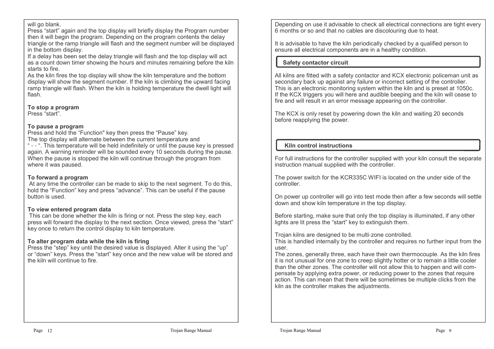#### will go blank.

 Press "start" again and the top display will briefly display the Program number then it will begin the program. Depending on the program contents the delay triangle or the ramp triangle will flash and the segment number will be displayed in the bottom display.

 If a delay has been set the delay triangle will flash and the top display will act as a count down timer showing the hours and minutes remaining before the kiln starts to fire.

 As the kiln fires the top display will show the kiln temperature and the bottom display will show the segment number. If the kiln is climbing the upward facing ramp triangle will flash. When the kiln is holding temperature the dwell light will flash.

#### **To stop a program**

Press "start".

#### **To pause a program**

Press and hold the "Function" key then press the "Pause" key.

The top display will alternate between the current temperature and

 " - - ". This temperature will be held indefinitely or until the pause key is pressed again. A warning reminder will be sounded every 10 seconds during the pause. When the pause is stopped the kiln will continue through the program from where it was paused.

#### **To forward a program**

 At any time the controller can be made to skip to the next segment. To do this, hold the "Function" key and press "advance". This can be useful if the pause button is used.

## **To view entered program data**

 This can be done whether the kiln is firing or not. Press the step key, each press will forward the display to the next section. Once viewed, press the "start" key once to return the control display to kiln temperature.

#### **To alter program data while the kiln is firing**

 Press the "step" key until the desired value is displayed. Alter it using the "up" or "down" keys. Press the "start" key once and the new value will be stored and the kiln will continue to fire.

Depending on use it advisable to check all electrical connections are tight every 6 months or so and that no cables are discolouring due to heat.

It is advisable to have the kiln periodically checked by a qualified person to ensure all electrical components are in a healthy condition.

### **Safety contactor circuit**

All kilns are fitted with a safety contactor and KCX electronic policeman unit as secondary back up against any failure or incorrect setting of the controller. This is an electronic monitoring system within the kiln and is preset at 1050c. If the KCX triggers you will here and audible beeping and the kiln will cease to fire and will result in an error message appearing on the controller.

The KCX is only reset by powering down the kiln and waiting 20 seconds before reapplying the power.

# **Kiln control instructions**

For full instructions for the controller supplied with your kiln consult the separate instruction manual supplied with the controller.

The power switch for the KCR335C WIFI is located on the under side of the controller.

On power up controller will go into test mode then after a few seconds will settle down and show kiln temperature in the top display.

Before starting, make sure that only the top display is illuminated, if any other lights are lit press the "start" key to extinguish them.

Trojan kilns are designed to be multi-zone controlled.

 This is handled internally by the controller and requires no further input from the user.

 The zones, generally three, each have their own thermocouple. As the kiln fires it is not unusual for one zone to creep slightly hotter or to remain a little cooler than the other zones. The controller will not allow this to happen and will compensate by applying extra power, or reducing power to the zones that require action. This can mean that there will be sometimes be multiple clicks from the kiln as the controller makes the adjustments.